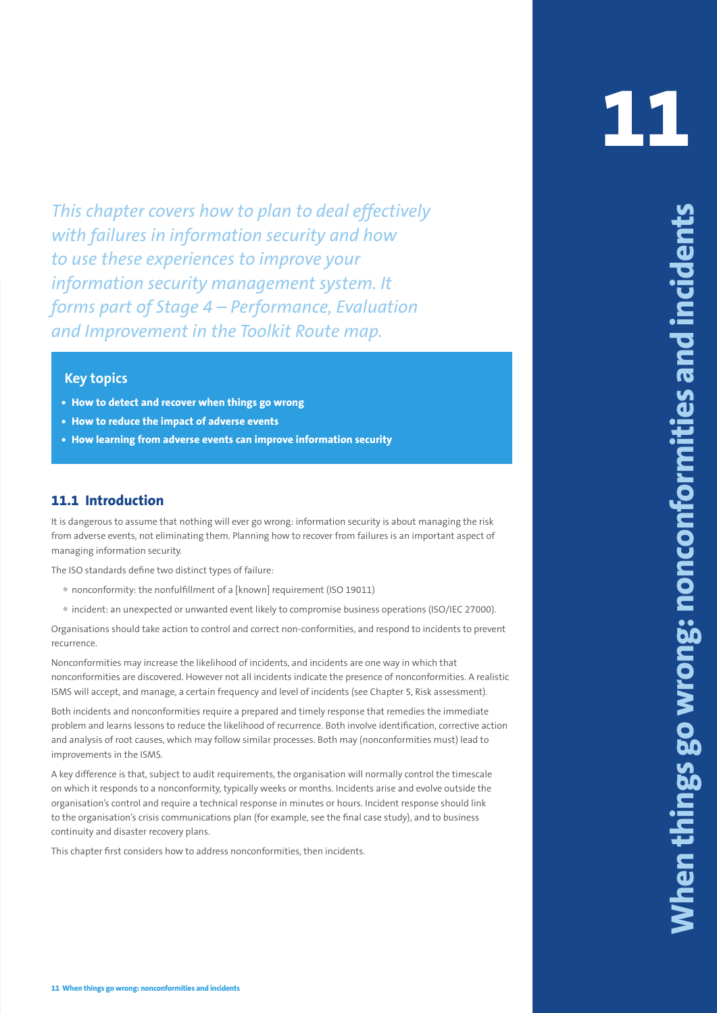**This chopter covers how to plain to check of properties and incidents and incidents and increases are properties and increases are properties and increases are properties and increases are properties and increases are pr** *This chapter covers how to plan to deal effectively with failures in information security and how to use these experiences to improve your information security management system. It forms part of Stage 4 – Performance, Evaluation and Improvement in the Toolkit Route map.*

### **Key topics**

- **• How to detect and recover when things go wrong**
- **• How to reduce the impact of adverse events**
- **• How learning from adverse events can improve information security**

## **11.1 Introduction**

It is dangerous to assume that nothing will ever go wrong: information security is about managing the risk from adverse events, not eliminating them. Planning how to recover from failures is an important aspect of managing information security.

The ISO standards define two distinct types of failure:

- nonconformity: the nonfulfillment of a [known] requirement (ISO 19011)
- incident: an unexpected or unwanted event likely to compromise business operations (ISO/IEC 27000).

Organisations should take action to control and correct non-conformities, and respond to incidents to prevent recurrence.

Nonconformities may increase the likelihood of incidents, and incidents are one way in which that nonconformities are discovered. However not all incidents indicate the presence of nonconformities. A realistic ISMS will accept, and manage, a certain frequency and level of incidents (see Chapter 5, Risk assessment).

Both incidents and nonconformities require a prepared and timely response that remedies the immediate problem and learns lessons to reduce the likelihood of recurrence. Both involve identification, corrective action and analysis of root causes, which may follow similar processes. Both may (nonconformities must) lead to improvements in the ISMS.

A key difference is that, subject to audit requirements, the organisation will normally control the timescale on which it responds to a nonconformity, typically weeks or months. Incidents arise and evolve outside the organisation's control and require a technical response in minutes or hours. Incident response should link to the organisation's crisis communications plan (for example, see the final case study), and to business continuity and disaster recovery plans.

This chapter first considers how to address nonconformities, then incidents.

**11**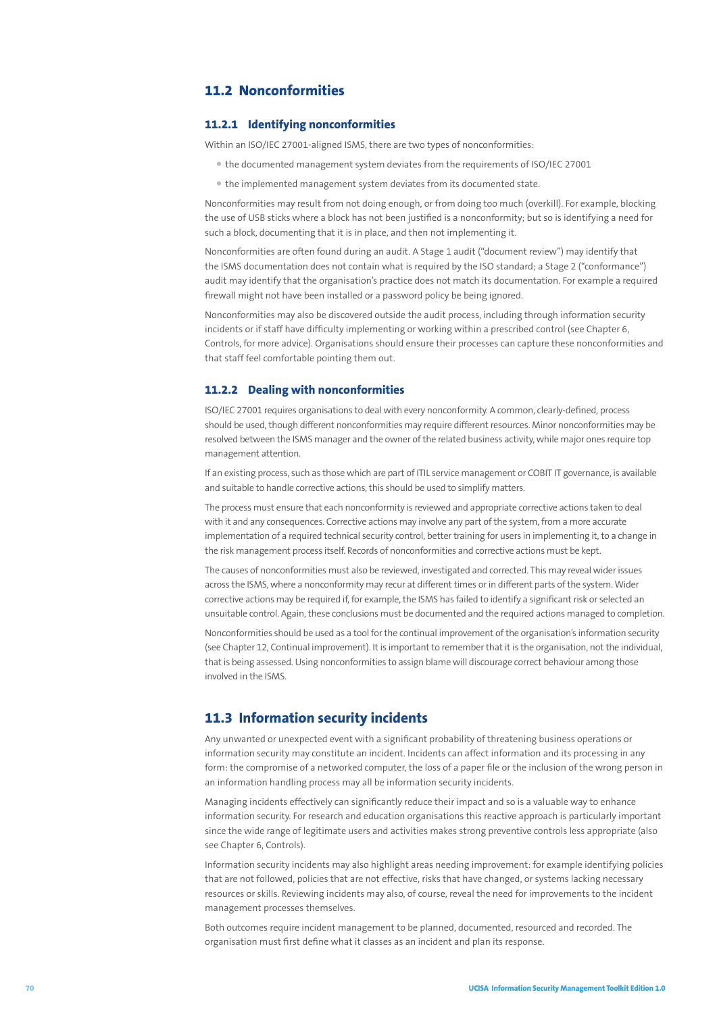# **11.2 Nonconformities**

### **11.2.1 Identifying nonconformities**

Within an ISO/IEC 27001-aligned ISMS, there are two types of nonconformities:

- the documented management system deviates from the requirements of ISO/IEC 27001
- the implemented management system deviates from its documented state.

Nonconformities may result from not doing enough, or from doing too much (overkill). For example, blocking the use of USB sticks where a block has not been justified is a nonconformity; but so is identifying a need for such a block, documenting that it is in place, and then not implementing it.

Nonconformities are often found during an audit. A Stage 1 audit ("document review") may identify that the ISMS documentation does not contain what is required by the ISO standard; a Stage 2 ("conformance") audit may identify that the organisation's practice does not match its documentation. For example a required firewall might not have been installed or a password policy be being ignored.

Nonconformities may also be discovered outside the audit process, including through information security incidents or if staff have difficulty implementing or working within a prescribed control (see Chapter 6, Controls, for more advice). Organisations should ensure their processes can capture these nonconformities and that staff feel comfortable pointing them out.

#### **11.2.2 Dealing with nonconformities**

ISO/IEC 27001 requires organisations to deal with every nonconformity. A common, clearly-defined, process should be used, though different nonconformities may require different resources. Minor nonconformities may be resolved between the ISMS manager and the owner of the related business activity, while major ones require top management attention.

If an existing process, such as those which are part of ITIL service management or COBIT IT governance, is available and suitable to handle corrective actions, this should be used to simplify matters.

The process must ensure that each nonconformity is reviewed and appropriate corrective actions taken to deal with it and any consequences. Corrective actions may involve any part of the system, from a more accurate implementation of a required technical security control, better training for users in implementing it, to a change in the risk management process itself. Records of nonconformities and corrective actions must be kept.

The causes of nonconformities must also be reviewed, investigated and corrected. This may reveal wider issues across the ISMS, where a nonconformity may recur at different times or in different parts of the system. Wider corrective actions may be required if, for example, the ISMS has failed to identify a significant risk or selected an unsuitable control. Again, these conclusions must be documented and the required actions managed to completion.

Nonconformities should be used as a tool for the continual improvement of the organisation's information security (see Chapter 12, Continual improvement). It is important to remember that it is the organisation, not the individual, that is being assessed. Using nonconformities to assign blame will discourage correct behaviour among those involved in the ISMS.

## **11.3 Information security incidents**

Any unwanted or unexpected event with a significant probability of threatening business operations or information security may constitute an incident. Incidents can affect information and its processing in any form: the compromise of a networked computer, the loss of a paper file or the inclusion of the wrong person in an information handling process may all be information security incidents.

Managing incidents effectively can significantly reduce their impact and so is a valuable way to enhance information security. For research and education organisations this reactive approach is particularly important since the wide range of legitimate users and activities makes strong preventive controls less appropriate (also see Chapter 6, Controls).

Information security incidents may also highlight areas needing improvement: for example identifying policies that are not followed, policies that are not effective, risks that have changed, or systems lacking necessary resources or skills. Reviewing incidents may also, of course, reveal the need for improvements to the incident management processes themselves.

Both outcomes require incident management to be planned, documented, resourced and recorded. The organisation must first define what it classes as an incident and plan its response.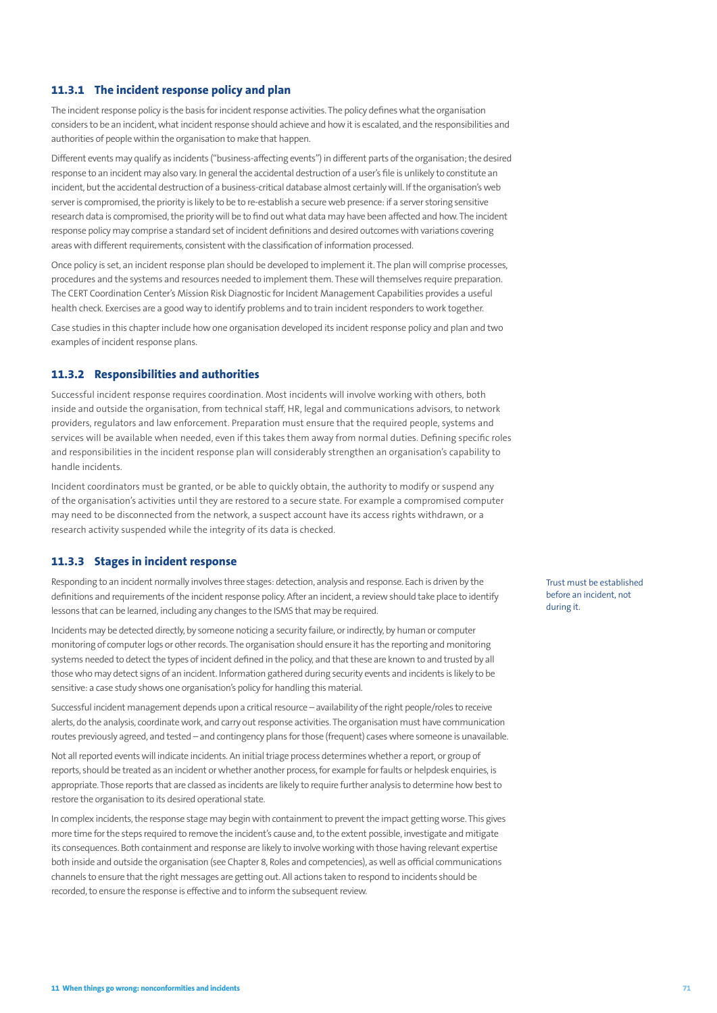### **11.3.1 The incident response policy and plan**

The incident response policy is the basis for incident response activities. The policy defines what the organisation considers to be an incident, what incident response should achieve and how it is escalated, and the responsibilities and authorities of people within the organisation to make that happen.

Different events may qualify as incidents ("business-affecting events") in different parts of the organisation; the desired response to an incident may also vary. In general the accidental destruction of a user's file is unlikely to constitute an incident, but the accidental destruction of a business-critical database almost certainly will. If the organisation's web server is compromised, the priority is likely to be to re-establish a secure web presence: if a server storing sensitive research data is compromised, the priority will be to find out what data may have been affected and how. The incident response policy may comprise a standard set of incident definitions and desired outcomes with variations covering areas with different requirements, consistent with the classification of information processed.

Once policy is set, an incident response plan should be developed to implement it. The plan will comprise processes, procedures and the systems and resources needed to implement them. These will themselves require preparation. The CERT Coordination Center's Mission Risk Diagnostic for Incident Management Capabilities provides a useful health check. Exercises are a good way to identify problems and to train incident responders to work together.

Case studies in this chapter include how one organisation developed its incident response policy and plan and two examples of incident response plans.

#### **11.3.2 Responsibilities and authorities**

Successful incident response requires coordination. Most incidents will involve working with others, both inside and outside the organisation, from technical staff, HR, legal and communications advisors, to network providers, regulators and law enforcement. Preparation must ensure that the required people, systems and services will be available when needed, even if this takes them away from normal duties. Defining specific roles and responsibilities in the incident response plan will considerably strengthen an organisation's capability to handle incidents.

Incident coordinators must be granted, or be able to quickly obtain, the authority to modify or suspend any of the organisation's activities until they are restored to a secure state. For example a compromised computer may need to be disconnected from the network, a suspect account have its access rights withdrawn, or a research activity suspended while the integrity of its data is checked.

#### **11.3.3 Stages in incident response**

Responding to an incident normally involves three stages: detection, analysis and response. Each is driven by the definitions and requirements of the incident response policy. After an incident, a review should take place to identify lessons that can be learned, including any changes to the ISMS that may be required.

Incidents may be detected directly, by someone noticing a security failure, or indirectly, by human or computer monitoring of computer logs or other records. The organisation should ensure it has the reporting and monitoring systems needed to detect the types of incident defined in the policy, and that these are known to and trusted by all those who may detect signs of an incident. Information gathered during security events and incidents is likely to be sensitive: a case study shows one organisation's policy for handling this material.

Successful incident management depends upon a critical resource – availability of the right people/roles to receive alerts, do the analysis, coordinate work, and carry out response activities. The organisation must have communication routes previously agreed, and tested – and contingency plans for those (frequent) cases where someone is unavailable.

Not all reported events will indicate incidents. An initial triage process determines whether a report, or group of reports, should be treated as an incident or whether another process, for example for faults or helpdesk enquiries, is appropriate. Those reports that are classed as incidents are likely to require further analysis to determine how best to restore the organisation to its desired operational state.

In complex incidents, the response stage may begin with containment to prevent the impact getting worse. This gives more time for the steps required to remove the incident's cause and, to the extent possible, investigate and mitigate its consequences. Both containment and response are likely to involve working with those having relevant expertise both inside and outside the organisation (see Chapter 8, Roles and competencies), as well as official communications channels to ensure that the right messages are getting out. All actions taken to respond to incidents should be recorded, to ensure the response is effective and to inform the subsequent review.

Trust must be established before an incident, not during it.